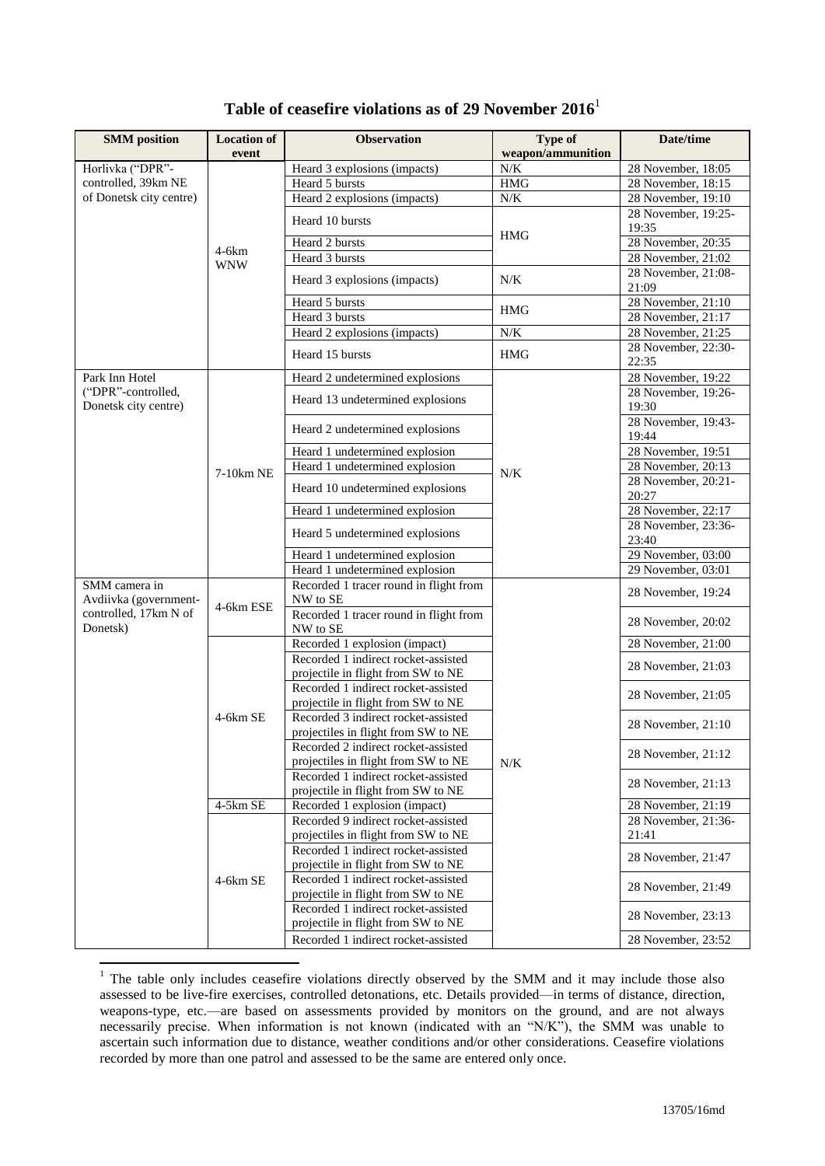| Table of ceasefire violations as of 29 November 2016 $^{\rm l}$ |  |
|-----------------------------------------------------------------|--|
|-----------------------------------------------------------------|--|

| <b>SMM</b> position                        | <b>Location of</b><br>event | <b>Observation</b>                                                         | Type of<br>weapon/ammunition | Date/time                    |
|--------------------------------------------|-----------------------------|----------------------------------------------------------------------------|------------------------------|------------------------------|
| Horlivka ("DPR"-                           |                             | Heard 3 explosions (impacts)                                               | $N/K$                        | 28 November, 18:05           |
| controlled, 39km NE                        |                             | Heard 5 bursts                                                             | <b>HMG</b>                   | $28$ November, 18:15         |
| of Donetsk city centre)                    |                             | Heard 2 explosions (impacts)                                               | $N\!/\!K$                    | 28 November, 19:10           |
|                                            |                             |                                                                            |                              | 28 November, 19:25-          |
|                                            |                             | Heard 10 bursts                                                            | <b>HMG</b>                   | 19:35                        |
|                                            | $4-6km$                     | Heard 2 bursts                                                             |                              | 28 November, 20:35           |
|                                            | <b>WNW</b>                  | Heard 3 bursts                                                             |                              | 28 November, 21:02           |
|                                            |                             | Heard 3 explosions (impacts)                                               | N/K                          | 28 November, 21:08-<br>21:09 |
|                                            |                             | Heard 5 bursts                                                             | <b>HMG</b>                   | 28 November, 21:10           |
|                                            |                             | Heard 3 bursts                                                             |                              | 28 November, 21:17           |
|                                            |                             | Heard 2 explosions (impacts)                                               | $N\!/\!K$                    | 28 November, 21:25           |
|                                            |                             | Heard 15 bursts                                                            | <b>HMG</b>                   | 28 November, 22:30-<br>22:35 |
| Park Inn Hotel                             |                             | Heard 2 undetermined explosions                                            |                              | 28 November, 19:22           |
| ("DPR"-controlled,<br>Donetsk city centre) |                             | Heard 13 undetermined explosions                                           |                              | 28 November, 19:26-<br>19:30 |
|                                            |                             | Heard 2 undetermined explosions                                            |                              | 28 November, 19:43-<br>19:44 |
|                                            |                             | Heard 1 undetermined explosion                                             |                              | 28 November, 19:51           |
|                                            | 7-10km NE                   | Heard 1 undetermined explosion                                             | N/K                          | 28 November, 20:13           |
|                                            |                             | Heard 10 undetermined explosions                                           |                              | 28 November, 20:21-<br>20:27 |
|                                            |                             | Heard 1 undetermined explosion                                             |                              | 28 November, 22:17           |
|                                            |                             | Heard 5 undetermined explosions                                            |                              | 28 November, 23:36-<br>23:40 |
|                                            |                             | Heard 1 undetermined explosion                                             |                              | 29 November, 03:00           |
|                                            |                             | Heard 1 undetermined explosion                                             |                              | 29 November, 03:01           |
| SMM camera in<br>Avdiivka (government-     | 4-6km ESE                   | Recorded 1 tracer round in flight from<br>NW to SE                         |                              | 28 November, 19:24           |
| controlled, 17km N of<br>Donetsk)          |                             | Recorded 1 tracer round in flight from<br>NW to SE                         |                              | 28 November, 20:02           |
|                                            |                             | Recorded 1 explosion (impact)                                              |                              | 28 November, 21:00           |
|                                            |                             | Recorded 1 indirect rocket-assisted                                        |                              | 28 November, 21:03           |
|                                            |                             | projectile in flight from SW to NE                                         |                              |                              |
|                                            |                             | Recorded 1 indirect rocket-assisted<br>projectile in flight from SW to NE  |                              | 28 November, 21:05           |
|                                            | 4-6km SE                    | Recorded 3 indirect rocket-assisted<br>projectiles in flight from SW to NE |                              | 28 November, 21:10           |
|                                            |                             | Recorded 2 indirect rocket-assisted                                        |                              | 28 November, 21:12           |
|                                            |                             | projectiles in flight from SW to NE<br>Recorded 1 indirect rocket-assisted | N/K                          | 28 November, 21:13           |
|                                            |                             | projectile in flight from SW to NE                                         |                              |                              |
|                                            | 4-5km SE                    | Recorded 1 explosion (impact)                                              |                              | 28 November, 21:19           |
|                                            |                             | Recorded 9 indirect rocket-assisted<br>projectiles in flight from SW to NE |                              | 28 November, 21:36-<br>21:41 |
|                                            |                             | Recorded 1 indirect rocket-assisted                                        |                              | 28 November, 21:47           |
|                                            | 4-6km SE                    | projectile in flight from SW to NE<br>Recorded 1 indirect rocket-assisted  |                              |                              |
|                                            |                             | projectile in flight from SW to NE                                         |                              | 28 November, 21:49           |
|                                            |                             | Recorded 1 indirect rocket-assisted<br>projectile in flight from SW to NE  |                              | 28 November, 23:13           |
|                                            |                             | Recorded 1 indirect rocket-assisted                                        |                              | 28 November, 23:52           |

 $1$  The table only includes ceasefire violations directly observed by the SMM and it may include those also assessed to be live-fire exercises, controlled detonations, etc. Details provided—in terms of distance, direction, weapons-type, etc.—are based on assessments provided by monitors on the ground, and are not always necessarily precise. When information is not known (indicated with an "N/K"), the SMM was unable to ascertain such information due to distance, weather conditions and/or other considerations. Ceasefire violations recorded by more than one patrol and assessed to be the same are entered only once.

1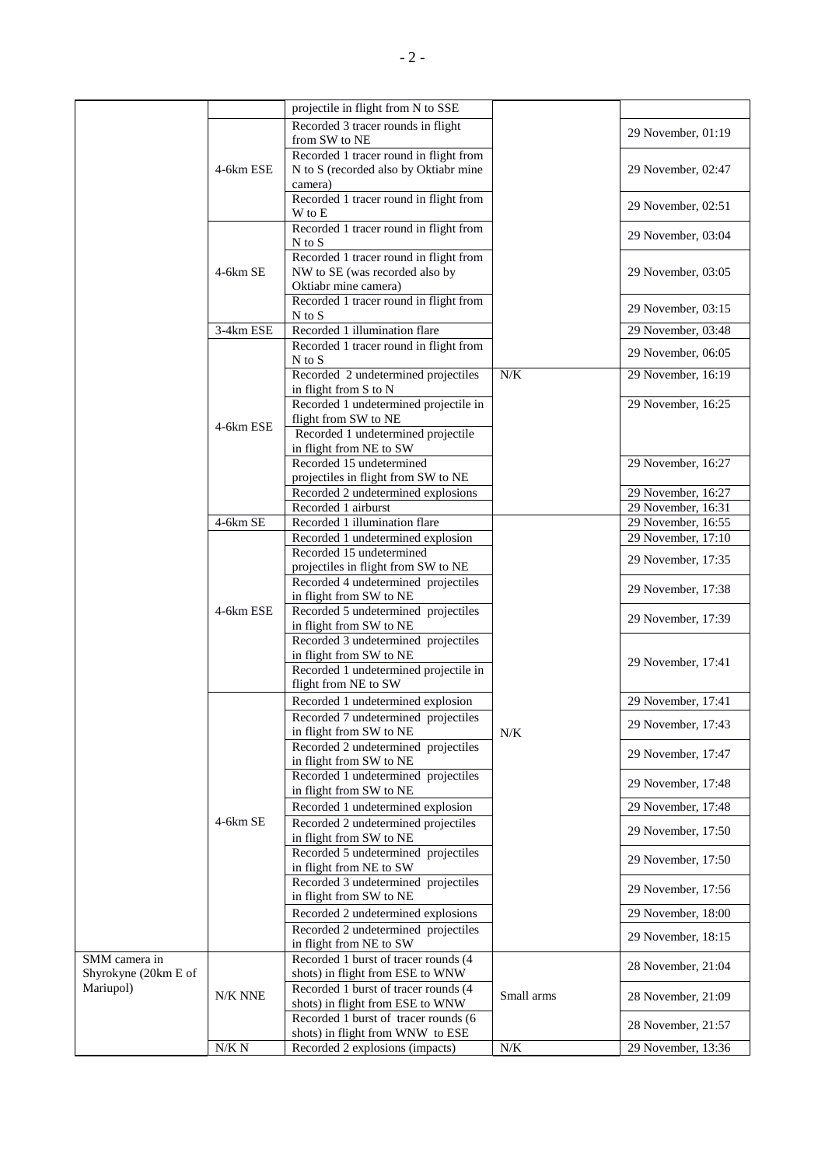|                      |            | projectile in flight from N to SSE                             |            |                    |
|----------------------|------------|----------------------------------------------------------------|------------|--------------------|
|                      |            | Recorded 3 tracer rounds in flight                             |            | 29 November, 01:19 |
|                      |            | from SW to NE                                                  |            |                    |
|                      |            | Recorded 1 tracer round in flight from                         |            |                    |
|                      | 4-6km ESE  | N to S (recorded also by Oktiabr mine                          |            | 29 November, 02:47 |
|                      |            | camera)                                                        |            |                    |
|                      |            | Recorded 1 tracer round in flight from                         |            | 29 November, 02:51 |
|                      |            | W to E                                                         |            |                    |
|                      |            | Recorded 1 tracer round in flight from                         |            |                    |
|                      |            | $N$ to $S$                                                     |            | 29 November, 03:04 |
|                      |            | Recorded 1 tracer round in flight from                         |            |                    |
|                      | $4-6km$ SE | NW to SE (was recorded also by                                 |            | 29 November, 03:05 |
|                      |            | Oktiabr mine camera)                                           |            |                    |
|                      |            | Recorded 1 tracer round in flight from                         |            | 29 November, 03:15 |
|                      |            | $N$ to $S$                                                     |            |                    |
|                      | 3-4km ESE  | Recorded 1 illumination flare                                  |            | 29 November, 03:48 |
|                      |            | Recorded 1 tracer round in flight from                         |            |                    |
|                      |            | $N$ to $S$                                                     |            | 29 November, 06:05 |
|                      |            | Recorded 2 undetermined projectiles                            | $N/K$      | 29 November, 16:19 |
|                      |            | in flight from S to N                                          |            |                    |
|                      |            | Recorded 1 undetermined projectile in                          |            | 29 November, 16:25 |
|                      |            | flight from SW to NE                                           |            |                    |
|                      | 4-6km ESE  | Recorded 1 undetermined projectile                             |            |                    |
|                      |            | in flight from NE to SW                                        |            |                    |
|                      |            | Recorded 15 undetermined                                       |            | 29 November, 16:27 |
|                      |            | projectiles in flight from SW to NE                            |            |                    |
|                      |            | Recorded 2 undetermined explosions                             |            | 29 November, 16:27 |
|                      |            | Recorded 1 airburst                                            |            | 29 November, 16:31 |
|                      | 4-6km SE   | Recorded 1 illumination flare                                  |            | 29 November, 16:55 |
|                      |            | Recorded 1 undetermined explosion                              |            | 29 November, 17:10 |
|                      |            | Recorded 15 undetermined                                       |            |                    |
|                      | 4-6km ESE  | projectiles in flight from SW to NE                            |            | 29 November, 17:35 |
|                      |            | Recorded 4 undetermined projectiles                            |            |                    |
|                      |            | in flight from SW to NE                                        |            | 29 November, 17:38 |
|                      |            | Recorded 5 undetermined projectiles                            |            |                    |
|                      |            | in flight from SW to NE                                        |            | 29 November, 17:39 |
|                      |            | Recorded 3 undetermined projectiles                            |            |                    |
|                      |            | in flight from SW to NE                                        |            |                    |
|                      |            | Recorded 1 undetermined projectile in                          |            | 29 November, 17:41 |
|                      |            | flight from NE to SW                                           |            |                    |
|                      |            | Recorded 1 undetermined explosion                              | N/K        | 29 November, 17:41 |
|                      |            | Recorded 7 undetermined projectiles                            |            |                    |
|                      |            | in flight from SW to NE                                        |            | 29 November, 17:43 |
|                      |            | Recorded 2 undetermined projectiles                            |            |                    |
|                      |            | in flight from SW to NE                                        |            | 29 November, 17:47 |
|                      |            | Recorded 1 undetermined projectiles                            |            |                    |
|                      |            | in flight from SW to NE                                        |            | 29 November, 17:48 |
|                      |            | Recorded 1 undetermined explosion                              |            | 29 November, 17:48 |
|                      | $4-6km$ SE |                                                                |            |                    |
|                      |            | Recorded 2 undetermined projectiles                            |            | 29 November, 17:50 |
|                      |            | in flight from SW to NE                                        |            |                    |
|                      |            | Recorded 5 undetermined projectiles                            |            | 29 November, 17:50 |
|                      |            | in flight from NE to SW                                        |            |                    |
|                      |            | Recorded 3 undetermined projectiles<br>in flight from SW to NE |            | 29 November, 17:56 |
|                      |            |                                                                |            |                    |
|                      |            | Recorded 2 undetermined explosions                             |            | 29 November, 18:00 |
|                      |            | Recorded 2 undetermined projectiles                            |            | 29 November, 18:15 |
|                      |            | in flight from NE to SW                                        |            |                    |
| SMM camera in        |            | Recorded 1 burst of tracer rounds (4                           |            | 28 November, 21:04 |
| Shyrokyne (20km E of |            | shots) in flight from ESE to WNW                               |            |                    |
| Mariupol)            | N/K NNE    | Recorded 1 burst of tracer rounds (4                           | Small arms | 28 November, 21:09 |
|                      |            | shots) in flight from ESE to WNW                               |            |                    |
|                      |            | Recorded 1 burst of tracer rounds (6                           |            | 28 November, 21:57 |
|                      |            | shots) in flight from WNW to ESE                               |            |                    |
|                      | $N/K\ N$   | Recorded 2 explosions (impacts)                                | $N\!/\!K$  | 29 November, 13:36 |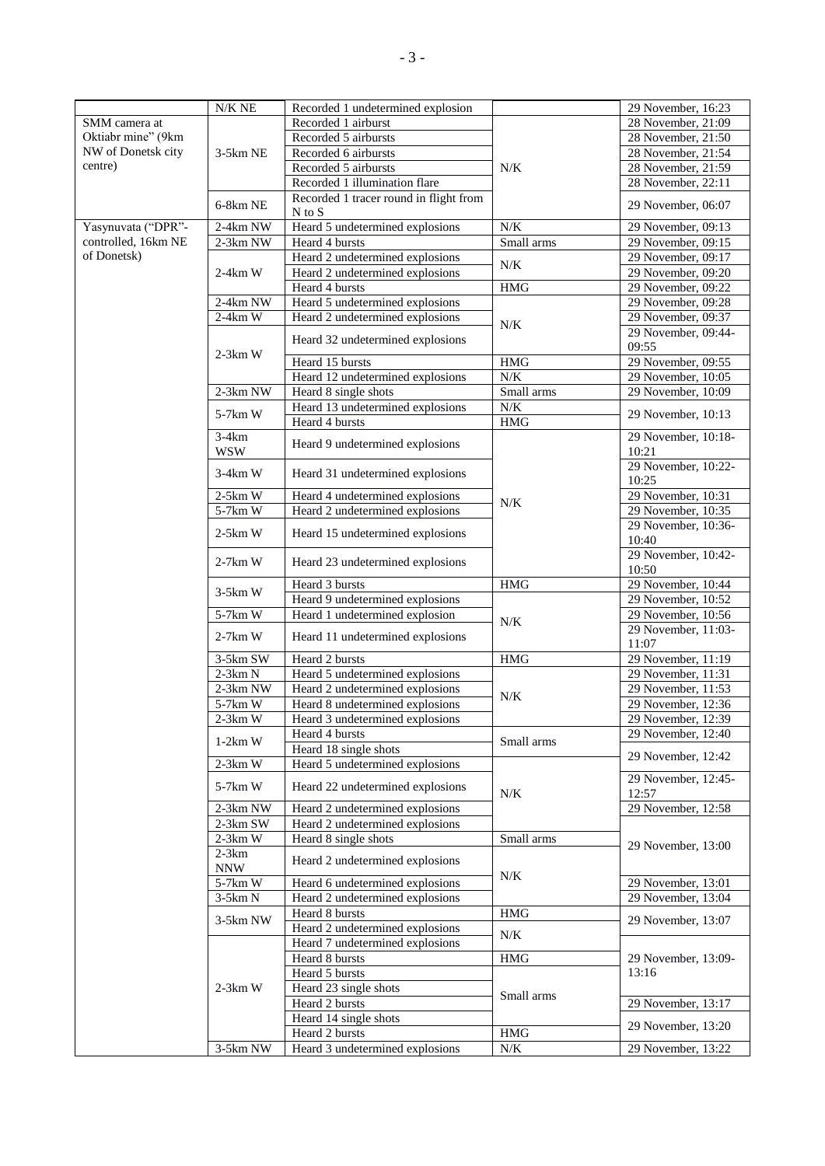|                     | $N/K$ NE                | Recorded 1 undetermined explosion                 |            | 29 November, 16:23           |
|---------------------|-------------------------|---------------------------------------------------|------------|------------------------------|
| SMM camera at       |                         | Recorded 1 airburst                               |            | 28 November, 21:09           |
| Oktiabr mine" (9km  |                         | Recorded 5 airbursts                              |            | 28 November, 21:50           |
| NW of Donetsk city  | 3-5km NE                | Recorded 6 airbursts                              |            | 28 November, 21:54           |
| centre)             |                         | Recorded 5 airbursts                              | N/K        | $28$ November, 21:59         |
|                     |                         | Recorded 1 illumination flare                     |            | 28 November, 22:11           |
|                     |                         | Recorded 1 tracer round in flight from            |            |                              |
|                     | 6-8km NE                | $N$ to $S$                                        |            | 29 November, 06:07           |
| Yasynuvata ("DPR"-  | 2-4km NW                | Heard 5 undetermined explosions                   | N/K        | 29 November, 09:13           |
| controlled, 16km NE | 2-3km NW                | Heard 4 bursts                                    | Small arms | 29 November, 09:15           |
| of Donetsk)         |                         | Heard 2 undetermined explosions                   |            | 29 November, 09:17           |
|                     | $2-4km$ W               | Heard 2 undetermined explosions                   | $N\!/\!K$  | 29 November, 09:20           |
|                     |                         | Heard 4 bursts                                    | <b>HMG</b> | 29 November, 09:22           |
|                     |                         |                                                   |            |                              |
|                     | 2-4km NW                | Heard 5 undetermined explosions                   |            | 29 November, 09:28           |
|                     | $2-4km$ W               | Heard 2 undetermined explosions                   | $N\!/\!K$  | 29 November, 09:37           |
|                     |                         | Heard 32 undetermined explosions                  |            | 29 November, 09:44-<br>09:55 |
|                     | $2-3km$ W               | Heard 15 bursts                                   | <b>HMG</b> | 29 November, 09:55           |
|                     |                         | Heard 12 undetermined explosions                  | N/K        | 29 November, 10:05           |
|                     | $2-3km$ NW              | Heard 8 single shots                              | Small arms | 29 November, 10:09           |
|                     |                         | Heard 13 undetermined explosions                  | N/K        |                              |
|                     | 5-7km W                 | Heard 4 bursts                                    | <b>HMG</b> | 29 November, 10:13           |
|                     | $3-4km$                 |                                                   |            | 29 November, 10:18-          |
|                     | <b>WSW</b>              | Heard 9 undetermined explosions                   |            | 10:21                        |
|                     | $3-4km$ W               | Heard 31 undetermined explosions                  |            | 29 November, 10:22-<br>10:25 |
|                     | $2-5km$ W               | Heard 4 undetermined explosions                   |            | 29 November, 10:31           |
|                     | $\overline{5}$ -7 $kmW$ | Heard 2 undetermined explosions                   | N/K        | 29 November, 10:35           |
|                     |                         |                                                   |            | 29 November, 10:36-          |
|                     | $2-5km$ W               | Heard 15 undetermined explosions                  |            | 10:40                        |
|                     |                         |                                                   |            | 29 November, 10:42-          |
|                     | $2-7km$ W               | Heard 23 undetermined explosions                  |            | 10:50                        |
|                     | $3-5km$ W               | Heard 3 bursts                                    | <b>HMG</b> | 29 November, 10:44           |
|                     |                         | Heard 9 undetermined explosions                   |            | 29 November, 10:52           |
|                     | 5-7km W                 | Heard 1 undetermined explosion                    |            | $29$ November, 10:56         |
|                     |                         |                                                   | $N\!/\!K$  | 29 November, 11:03-          |
|                     | $2-7km$ W               | Heard 11 undetermined explosions                  |            | 11:07                        |
|                     | 3-5km SW                | Heard 2 bursts                                    | <b>HMG</b> | 29 November, 11:19           |
|                     | $2-3km N$               | Heard 5 undetermined explosions                   |            | $29$ November, 11:31         |
|                     | $2-3km$ NW              | Heard 2 undetermined explosions                   |            | 29 November, 11:53           |
|                     | $5 - 7km$ W             | Heard 8 undetermined explosions                   | $N\!/\!K$  | 29 November, 12:36           |
|                     | $2-3km$ W               | Heard 3 undetermined explosions                   |            | 29 November, 12:39           |
|                     |                         | Heard 4 bursts                                    |            | 29 November, 12:40           |
|                     | $1-2km$ W               | Heard 18 single shots                             | Small arms |                              |
|                     | $2-3km$ W               | Heard 5 undetermined explosions                   |            | 29 November, 12:42           |
|                     |                         |                                                   |            | 29 November, 12:45-          |
|                     | 5-7km W                 | Heard 22 undetermined explosions                  | N/K        | 12:57                        |
|                     | 2-3km NW                | Heard 2 undetermined explosions                   |            | 29 November, 12:58           |
|                     | 2-3km SW                | Heard 2 undetermined explosions                   |            |                              |
|                     | $2-3km$ W               | Heard 8 single shots                              | Small arms | 29 November, 13:00           |
|                     | $2-3km$<br><b>NNW</b>   | Heard 2 undetermined explosions                   |            |                              |
|                     | $5-7km$ W               | Heard 6 undetermined explosions                   | N/K        | 29 November, 13:01           |
|                     |                         |                                                   |            |                              |
|                     | $3-5km N$               | Heard 2 undetermined explosions                   |            | 29 November, 13:04           |
|                     | 3-5km NW                | Heard 8 bursts<br>Heard 2 undetermined explosions | <b>HMG</b> | 29 November, 13:07           |
|                     |                         | Heard 7 undetermined explosions                   | N/K        |                              |
|                     |                         | Heard 8 bursts                                    | <b>HMG</b> | 29 November, 13:09-          |
|                     |                         |                                                   |            | 13:16                        |
|                     |                         | Heard 5 bursts                                    |            |                              |
|                     | $2-3km$ W               | Heard 23 single shots                             | Small arms |                              |
|                     |                         | Heard 2 bursts                                    |            | 29 November, 13:17           |
|                     |                         | Heard 14 single shots                             |            | 29 November, 13:20           |
|                     |                         | Heard 2 bursts                                    | <b>HMG</b> |                              |
|                     | 3-5km NW                | Heard 3 undetermined explosions                   | $N\!/\!K$  | 29 November, 13:22           |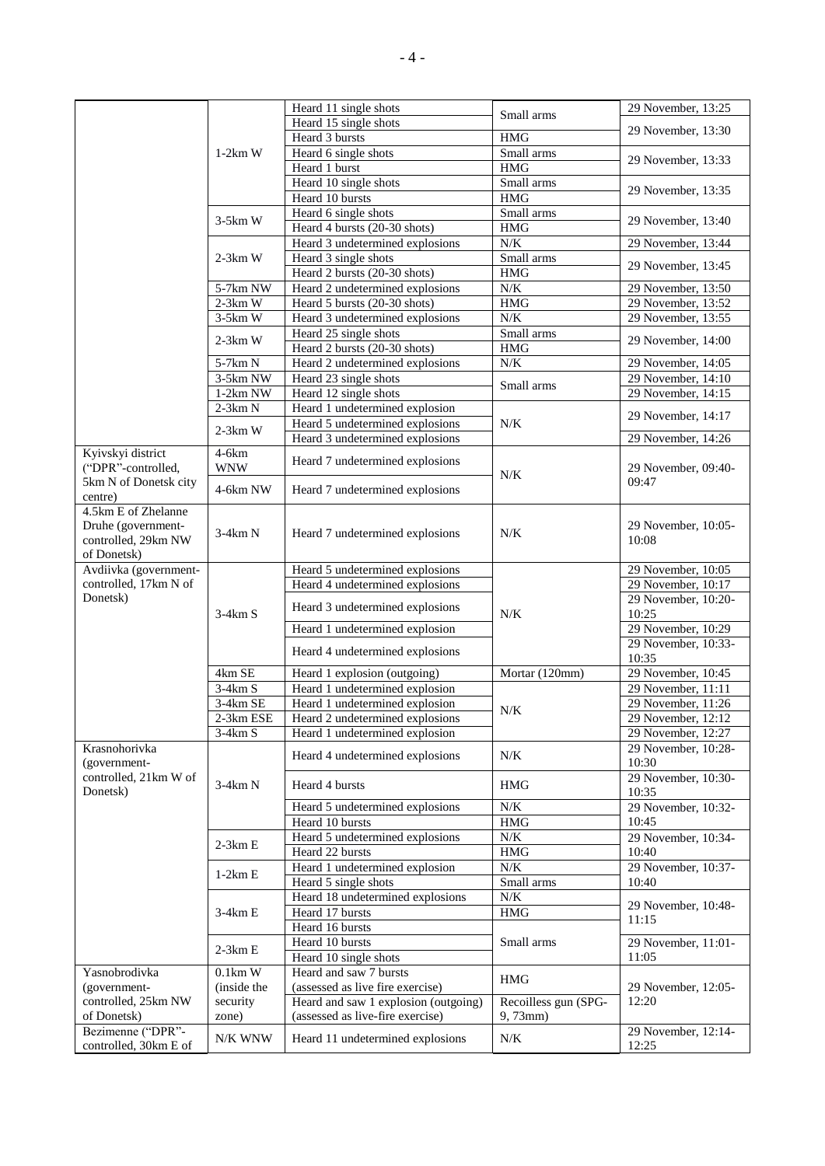|                                            |             | Heard 11 single shots                | Small arms           | 29 November, 13:25           |
|--------------------------------------------|-------------|--------------------------------------|----------------------|------------------------------|
|                                            |             | Heard 15 single shots                |                      |                              |
|                                            |             | Heard 3 bursts                       | <b>HMG</b>           | 29 November, 13:30           |
|                                            | $1-2km$ W   | Heard 6 single shots                 | Small arms           |                              |
|                                            |             | Heard 1 burst                        | <b>HMG</b>           | 29 November, 13:33           |
|                                            |             | Heard 10 single shots                | Small arms           |                              |
|                                            |             | Heard 10 bursts                      | <b>HMG</b>           | 29 November, 13:35           |
|                                            |             | Heard 6 single shots                 | Small arms           |                              |
|                                            | $3-5km$ W   | Heard 4 bursts (20-30 shots)         | <b>HMG</b>           | 29 November, 13:40           |
|                                            |             | Heard 3 undetermined explosions      | N/K                  | 29 November, 13:44           |
|                                            | $2-3km$ W   | Heard 3 single shots                 | Small arms           |                              |
|                                            |             |                                      |                      | 29 November, 13:45           |
|                                            |             | Heard 2 bursts (20-30 shots)         | <b>HMG</b>           |                              |
|                                            | $5-7km$ NW  | Heard 2 undetermined explosions      | N/K                  | 29 November, 13:50           |
|                                            | $2-3km$ W   | Heard 5 bursts (20-30 shots)         | HMG                  | 29 November, 13:52           |
|                                            | $3-5km$ W   | Heard 3 undetermined explosions      | N/K                  | 29 November, 13:55           |
|                                            | $2-3km$ W   | Heard 25 single shots                | Small arms           | 29 November, 14:00           |
|                                            |             | Heard 2 bursts (20-30 shots)         | <b>HMG</b>           |                              |
|                                            | 5-7km N     | Heard 2 undetermined explosions      | $N/K$                | 29 November, 14:05           |
|                                            | 3-5km NW    | Heard 23 single shots                |                      | 29 November, 14:10           |
|                                            | $1-2km$ NW  | Heard 12 single shots                | Small arms           | 29 November, 14:15           |
|                                            | $2-3km N$   | Heard 1 undetermined explosion       |                      |                              |
|                                            |             | Heard 5 undetermined explosions      | $N/K$                | 29 November, 14:17           |
|                                            | $2-3km$ W   | Heard 3 undetermined explosions      |                      | 29 November, 14:26           |
| Kyivskyi district                          | $4-6km$     |                                      |                      |                              |
| ("DPR"-controlled,                         | <b>WNW</b>  | Heard 7 undetermined explosions      |                      | 29 November, 09:40-          |
| 5km N of Donetsk city                      |             |                                      | N/K                  | 09:47                        |
| centre)                                    | 4-6km NW    | Heard 7 undetermined explosions      |                      |                              |
| 4.5km E of Zhelanne                        |             |                                      |                      |                              |
|                                            |             |                                      |                      |                              |
| Druhe (government-                         | 3-4km N     | Heard 7 undetermined explosions      | $N/K$                | 29 November, 10:05-          |
| controlled, 29km NW                        |             |                                      |                      | 10:08                        |
| of Donetsk)                                |             |                                      |                      |                              |
| Avdiivka (government-                      |             | Heard 5 undetermined explosions      |                      | 29 November, 10:05           |
| controlled, 17km N of                      |             | Heard 4 undetermined explosions      |                      | 29 November, 10:17           |
| Donetsk)                                   |             | Heard 3 undetermined explosions      |                      | 29 November, 10:20-          |
|                                            | $3-4km S$   |                                      | N/K                  | 10:25                        |
|                                            |             | Heard 1 undetermined explosion       |                      | 29 November, 10:29           |
|                                            |             |                                      |                      | 29 November, 10:33-          |
|                                            |             | Heard 4 undetermined explosions      |                      | 10:35                        |
|                                            | 4km SE      | Heard 1 explosion (outgoing)         | Mortar (120mm)       | 29 November, 10:45           |
|                                            | $3-4km S$   | Heard 1 undetermined explosion       |                      | 29 November, 11:11           |
|                                            | 3-4km SE    | Heard 1 undetermined explosion       |                      | 29 November, 11:26           |
|                                            | 2-3km ESE   | Heard 2 undetermined explosions      | N/K                  | 29 November, 12:12           |
|                                            | $3-4km S$   | Heard 1 undetermined explosion       |                      | 29 November, 12:27           |
| Krasnohorivka                              |             |                                      |                      | 29 November, 10:28-          |
|                                            |             | Heard 4 undetermined explosions      | $N/K$                |                              |
| (government-<br>controlled, 21km W of      |             |                                      |                      | 10:30<br>29 November, 10:30- |
|                                            | $3-4km N$   | Heard 4 bursts                       | <b>HMG</b>           |                              |
| Donetsk)                                   |             |                                      |                      | 10:35                        |
|                                            |             | Heard 5 undetermined explosions      | N/K                  | 29 November, 10:32-          |
|                                            |             | Heard 10 bursts                      | <b>HMG</b>           | 10:45                        |
|                                            | $2-3km E$   | Heard 5 undetermined explosions      | N/K                  | 29 November, 10:34-          |
|                                            |             | Heard 22 bursts                      | <b>HMG</b>           | 10:40                        |
|                                            | $1-2km E$   | Heard 1 undetermined explosion       | $N\!/\!K$            | 29 November, 10:37-          |
|                                            |             | Heard 5 single shots                 | Small arms           | 10:40                        |
|                                            |             | Heard 18 undetermined explosions     | $N/K$                |                              |
|                                            | $3-4km E$   | Heard 17 bursts                      | HMG                  | 29 November, 10:48-          |
|                                            |             | Heard 16 bursts                      |                      | 11:15                        |
|                                            |             | Heard 10 bursts                      | Small arms           | 29 November, 11:01-          |
|                                            | $2-3km E$   | Heard 10 single shots                |                      | 11:05                        |
| Yasnobrodivka                              | $0.1km$ W   | Heard and saw 7 bursts               |                      |                              |
|                                            |             |                                      | <b>HMG</b>           |                              |
| (government-                               | (inside the | (assessed as live fire exercise)     |                      | 29 November, 12:05-          |
| controlled, 25km NW                        | security    | Heard and saw 1 explosion (outgoing) | Recoilless gun (SPG- | 12:20                        |
| of Donetsk)                                | zone)       | (assessed as live-fire exercise)     | 9,73mm)              |                              |
| Bezimenne ("DPR"-<br>controlled, 30km E of | N/K WNW     | Heard 11 undetermined explosions     | N/K                  | 29 November, 12:14-<br>12:25 |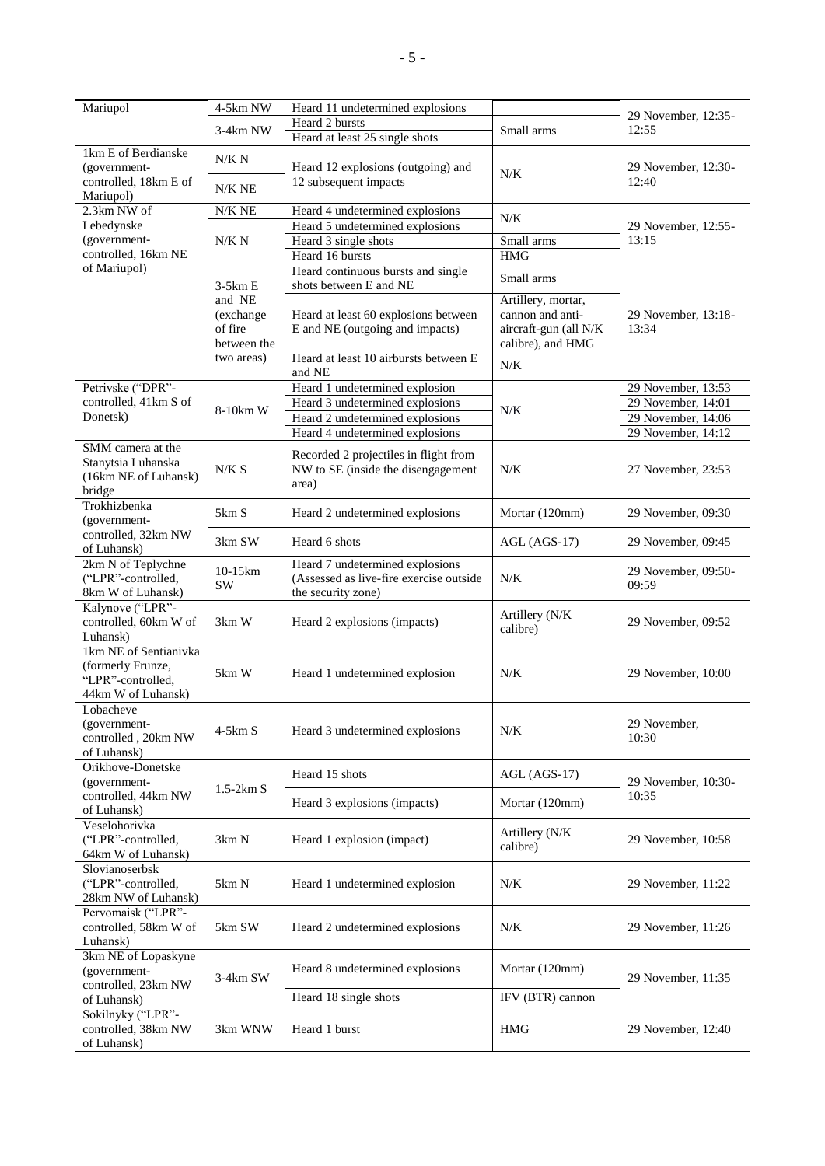| Mariupol                                                                              | 4-5km NW          | Heard 11 undetermined explosions                                                                 |                            | 29 November, 12:35-          |
|---------------------------------------------------------------------------------------|-------------------|--------------------------------------------------------------------------------------------------|----------------------------|------------------------------|
|                                                                                       | 3-4km NW          | Heard 2 bursts                                                                                   | Small arms                 | 12:55                        |
|                                                                                       |                   | Heard at least 25 single shots                                                                   |                            |                              |
| 1km E of Berdianske<br>(government-<br>controlled, 18km E of                          | N/K N<br>$N/K$ NE | Heard 12 explosions (outgoing) and<br>12 subsequent impacts                                      | N/K                        | 29 November, 12:30-<br>12:40 |
| Mariupol)                                                                             |                   |                                                                                                  |                            |                              |
| 2.3km NW of<br>Lebedynske                                                             | N/K NE            | Heard 4 undetermined explosions<br>Heard 5 undetermined explosions                               | $N/K$                      | 29 November, 12:55-          |
| (government-                                                                          | N/K N             | Heard 3 single shots                                                                             | Small arms                 | 13:15                        |
| controlled, 16km NE                                                                   |                   | Heard 16 bursts                                                                                  | <b>HMG</b>                 |                              |
| of Mariupol)                                                                          | $3-5km E$         | Heard continuous bursts and single<br>shots between E and NE                                     | Small arms                 |                              |
|                                                                                       | and NE            |                                                                                                  | Artillery, mortar,         |                              |
|                                                                                       | (exchange         | Heard at least 60 explosions between                                                             | cannon and anti-           | 29 November, 13:18-          |
|                                                                                       | of fire           | E and NE (outgoing and impacts)                                                                  | aircraft-gun (all N/K      | 13:34                        |
|                                                                                       | between the       |                                                                                                  | calibre), and HMG          |                              |
|                                                                                       | two areas)        | Heard at least 10 airbursts between E<br>and NE                                                  | $N/K$                      |                              |
| Petrivske ("DPR"-                                                                     |                   | Heard 1 undetermined explosion                                                                   |                            | 29 November, 13:53           |
| controlled, 41km S of                                                                 | 8-10km W          | Heard 3 undetermined explosions                                                                  | N/K                        | 29 November, 14:01           |
| Donetsk)                                                                              |                   | Heard 2 undetermined explosions                                                                  |                            | 29 November, 14:06           |
|                                                                                       |                   | Heard 4 undetermined explosions                                                                  |                            | 29 November, 14:12           |
| SMM camera at the<br>Stanytsia Luhanska<br>(16km NE of Luhansk)<br>bridge             | N/K S             | Recorded 2 projectiles in flight from<br>NW to SE (inside the disengagement<br>area)             | $N/K$                      | 27 November, 23:53           |
| Trokhizbenka<br>(government-                                                          | 5km S             | Heard 2 undetermined explosions                                                                  | Mortar (120mm)             | 29 November, 09:30           |
| controlled, 32km NW<br>of Luhansk)                                                    | 3km SW            | Heard 6 shots                                                                                    | $AGL (AGS-17)$             | 29 November, 09:45           |
| 2km N of Teplychne<br>("LPR"-controlled,<br>8km W of Luhansk)                         | 10-15km<br>SW     | Heard 7 undetermined explosions<br>(Assessed as live-fire exercise outside<br>the security zone) | $N/K$                      | 29 November, 09:50-<br>09:59 |
| Kalynove ("LPR"-<br>controlled, 60km W of<br>Luhansk)                                 | $3km$ W           | Heard 2 explosions (impacts)                                                                     | Artillery (N/K<br>calibre) | 29 November, 09:52           |
| 1km NE of Sentianivka<br>(formerly Frunze,<br>"LPR"-controlled,<br>44km W of Luhansk) | 5km W             | Heard 1 undetermined explosion                                                                   | N/K                        | 29 November, 10:00           |
| Lobacheve<br>(government-<br>controlled, 20km NW<br>of Luhansk)                       | $4-5km S$         | Heard 3 undetermined explosions                                                                  | $N/K$                      | 29 November,<br>10:30        |
| Orikhove-Donetske<br>(government-                                                     | $1.5-2km S$       | Heard 15 shots                                                                                   | $AGL (AGS-17)$             | 29 November, 10:30-          |
| controlled, 44km NW<br>of Luhansk)                                                    |                   | Heard 3 explosions (impacts)                                                                     | Mortar (120mm)             | 10:35                        |
| Veselohorivka<br>("LPR"-controlled,<br>64km W of Luhansk)                             | 3km N             | Heard 1 explosion (impact)                                                                       | Artillery (N/K<br>calibre) | 29 November, 10:58           |
| Slovianoserbsk<br>("LPR"-controlled,<br>28km NW of Luhansk)                           | 5km N             | Heard 1 undetermined explosion                                                                   | N/K                        | 29 November, 11:22           |
| Pervomaisk ("LPR"-<br>controlled, 58km W of<br>Luhansk)                               | 5km SW            | Heard 2 undetermined explosions                                                                  | $N/K$                      | 29 November, 11:26           |
| 3km NE of Lopaskyne<br>(government-<br>controlled, 23km NW                            | 3-4km SW          | Heard 8 undetermined explosions                                                                  | Mortar (120mm)             | 29 November, 11:35           |
| of Luhansk)                                                                           |                   | Heard 18 single shots                                                                            | IFV (BTR) cannon           |                              |
| Sokilnyky ("LPR"-<br>controlled, 38km NW<br>of Luhansk)                               | 3km WNW           | Heard 1 burst                                                                                    | HMG                        | 29 November, 12:40           |